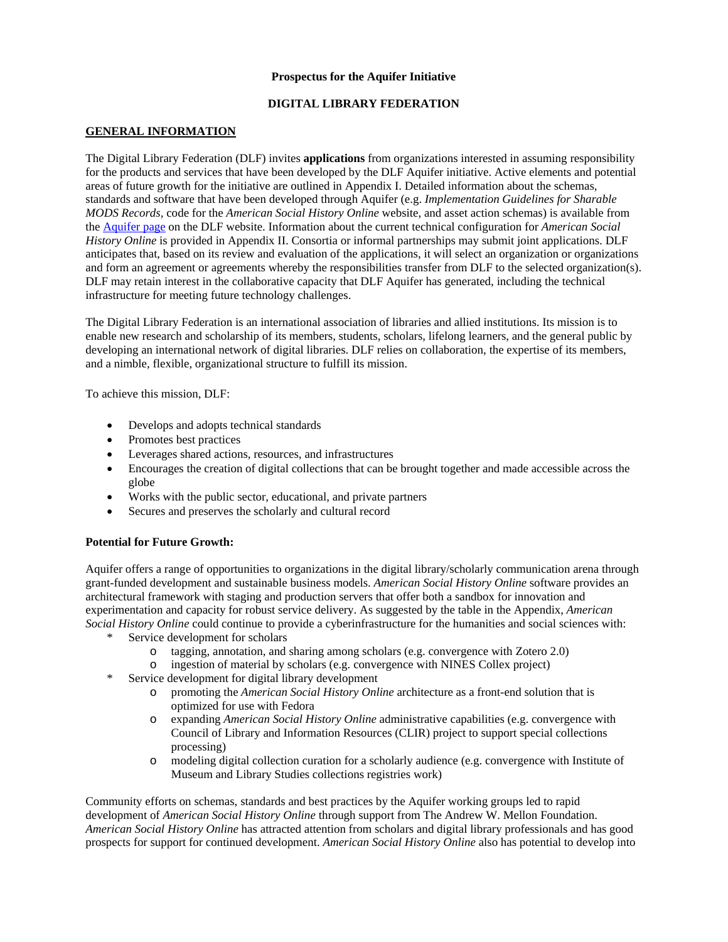### **Prospectus for the Aquifer Initiative**

## **DIGITAL LIBRARY FEDERATION**

## **GENERAL INFORMATION**

The Digital Library Federation (DLF) invites **applications** from organizations interested in assuming responsibility for the products and services that have been developed by the DLF Aquifer initiative. Active elements and potential areas of future growth for the initiative are outlined in Appendix I. Detailed information about the schemas, standards and software that have been developed through Aquifer (e.g. *Implementation Guidelines for Sharable MODS Records,* code for the *American Social History Online* website, and asset action schemas) is available from the Aquifer page on the DLF website. Information about the current technical configuration for *American Social History Online* is provided in Appendix II. Consortia or informal partnerships may submit joint applications. DLF anticipates that, based on its review and evaluation of the applications, it will select an organization or organizations and form an agreement or agreements whereby the responsibilities transfer from DLF to the selected organization(s). DLF may retain interest in the collaborative capacity that DLF Aquifer has generated, including the technical infrastructure for meeting future technology challenges.

The Digital Library Federation is an international association of libraries and allied institutions. Its mission is to enable new research and scholarship of its members, students, scholars, lifelong learners, and the general public by developing an international network of digital libraries. DLF relies on collaboration, the expertise of its members, and a nimble, flexible, organizational structure to fulfill its mission.

To achieve this mission, DLF:

- Develops and adopts technical standards
- Promotes best practices
- Leverages shared actions, resources, and infrastructures
- Encourages the creation of digital collections that can be brought together and made accessible across the globe
- Works with the public sector, educational, and private partners
- Secures and preserves the scholarly and cultural record

#### **Potential for Future Growth:**

Aquifer offers a range of opportunities to organizations in the digital library/scholarly communication arena through grant-funded development and sustainable business models. *American Social History Online* software provides an architectural framework with staging and production servers that offer both a sandbox for innovation and experimentation and capacity for robust service delivery. As suggested by the table in the Appendix, *American Social History Online* could continue to provide a cyberinfrastructure for the humanities and social sciences with:

- Service development for scholars
	- o tagging, annotation, and sharing among scholars (e.g. convergence with Zotero 2.0)
	- o ingestion of material by scholars (e.g. convergence with NINES Collex project)
- \* Service development for digital library development
	- o promoting the *American Social History Online* architecture as a front-end solution that is optimized for use with Fedora
	- o expanding *American Social History Online* administrative capabilities (e.g. convergence with Council of Library and Information Resources (CLIR) project to support special collections processing)
	- o modeling digital collection curation for a scholarly audience (e.g. convergence with Institute of Museum and Library Studies collections registries work)

Community efforts on schemas, standards and best practices by the Aquifer working groups led to rapid development of *American Social History Online* through support from The Andrew W. Mellon Foundation. *American Social History Online* has attracted attention from scholars and digital library professionals and has good prospects for support for continued development. *American Social History Online* also has potential to develop into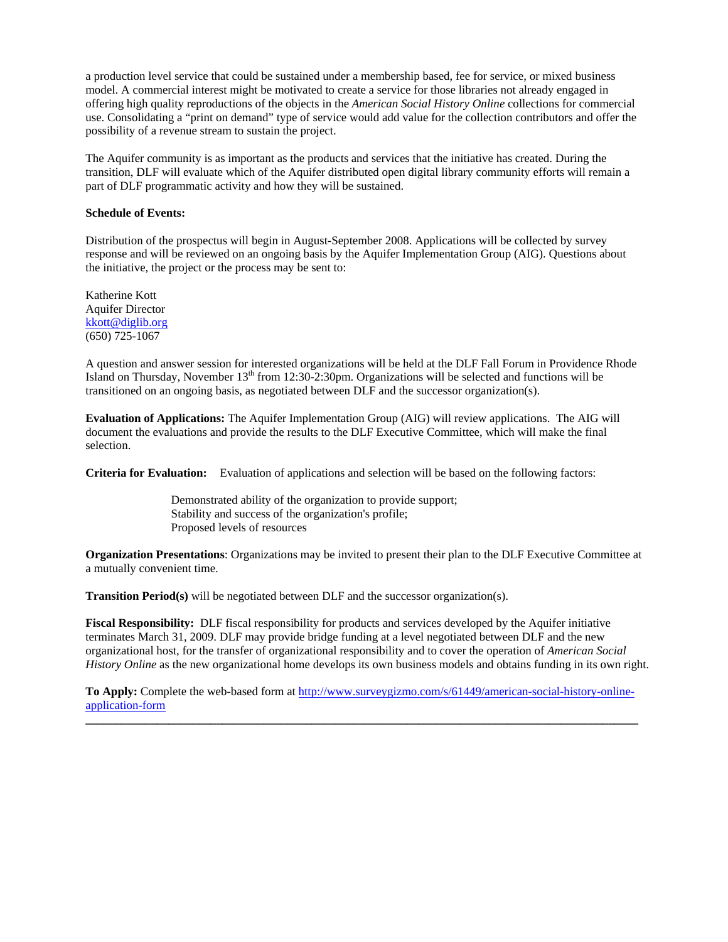a production level service that could be sustained under a membership based, fee for service, or mixed business model. A commercial interest might be motivated to create a service for those libraries not already engaged in offering high quality reproductions of the objects in the *American Social History Online* collections for commercial use. Consolidating a "print on demand" type of service would add value for the collection contributors and offer the possibility of a revenue stream to sustain the project.

The Aquifer community is as important as the products and services that the initiative has created. During the transition, DLF will evaluate which of the Aquifer distributed open digital library community efforts will remain a part of DLF programmatic activity and how they will be sustained.

### **Schedule of Events:**

Distribution of the prospectus will begin in August-September 2008. Applications will be collected by survey response and will be reviewed on an ongoing basis by the Aquifer Implementation Group (AIG). Questions about the initiative, the project or the process may be sent to:

Katherine Kott Aquifer Director kkott@diglib.org (650) 725-1067

A question and answer session for interested organizations will be held at the DLF Fall Forum in Providence Rhode Island on Thursday, November 13<sup>th</sup> from 12:30-2:30pm. Organizations will be selected and functions will be transitioned on an ongoing basis, as negotiated between DLF and the successor organization(s).

**Evaluation of Applications:** The Aquifer Implementation Group (AIG) will review applications. The AIG will document the evaluations and provide the results to the DLF Executive Committee, which will make the final selection.

**Criteria for Evaluation:** Evaluation of applications and selection will be based on the following factors:

 Demonstrated ability of the organization to provide support; Stability and success of the organization's profile; Proposed levels of resources

**Organization Presentations**: Organizations may be invited to present their plan to the DLF Executive Committee at a mutually convenient time.

**Transition Period(s)** will be negotiated between DLF and the successor organization(s).

**Fiscal Responsibility:** DLF fiscal responsibility for products and services developed by the Aquifer initiative terminates March 31, 2009. DLF may provide bridge funding at a level negotiated between DLF and the new organizational host, for the transfer of organizational responsibility and to cover the operation of *American Social History Online* as the new organizational home develops its own business models and obtains funding in its own right.

**To Apply:** Complete the web-based form at http://www.surveygizmo.com/s/61449/american-social-history-onlineapplication-form **\_\_\_\_\_\_\_\_\_\_\_\_\_\_\_\_\_\_\_\_\_\_\_\_\_\_\_\_\_\_\_\_\_\_\_\_\_\_\_\_\_\_\_\_\_\_\_\_\_\_\_\_\_\_\_\_\_\_\_\_\_\_\_\_\_\_\_\_\_\_\_\_\_\_\_\_\_\_\_\_\_\_\_\_\_\_\_\_\_\_\_\_\_**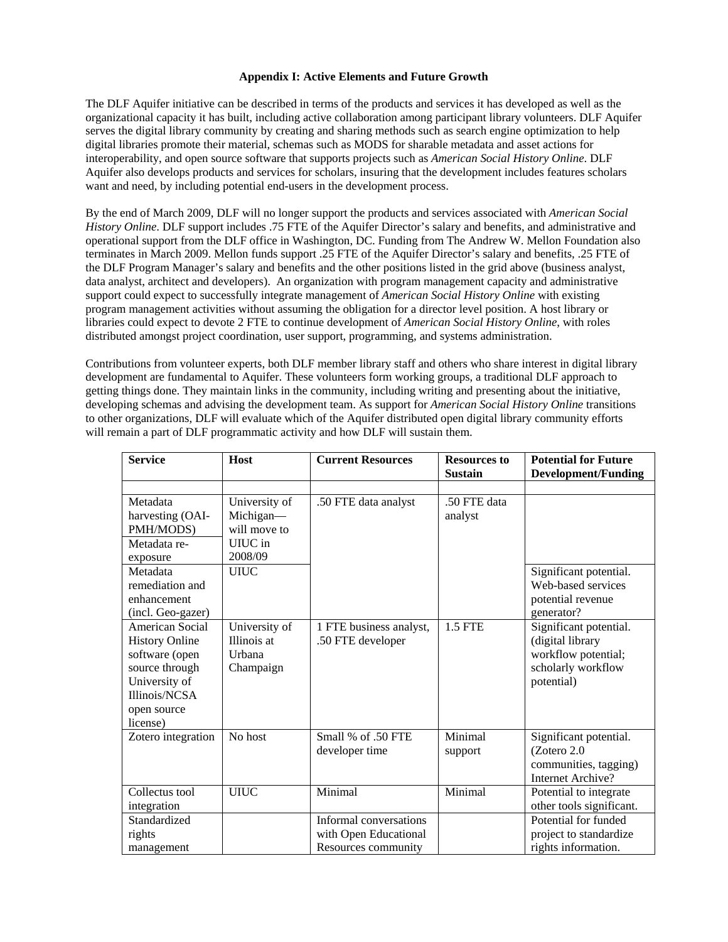### **Appendix I: Active Elements and Future Growth**

The DLF Aquifer initiative can be described in terms of the products and services it has developed as well as the organizational capacity it has built, including active collaboration among participant library volunteers. DLF Aquifer serves the digital library community by creating and sharing methods such as search engine optimization to help digital libraries promote their material, schemas such as MODS for sharable metadata and asset actions for interoperability, and open source software that supports projects such as *American Social History Online*. DLF Aquifer also develops products and services for scholars, insuring that the development includes features scholars want and need, by including potential end-users in the development process.

By the end of March 2009, DLF will no longer support the products and services associated with *American Social History Online*. DLF support includes .75 FTE of the Aquifer Director's salary and benefits, and administrative and operational support from the DLF office in Washington, DC. Funding from The Andrew W. Mellon Foundation also terminates in March 2009. Mellon funds support .25 FTE of the Aquifer Director's salary and benefits, .25 FTE of the DLF Program Manager's salary and benefits and the other positions listed in the grid above (business analyst, data analyst, architect and developers). An organization with program management capacity and administrative support could expect to successfully integrate management of *American Social History Online* with existing program management activities without assuming the obligation for a director level position. A host library or libraries could expect to devote 2 FTE to continue development of *American Social History Online*, with roles distributed amongst project coordination, user support, programming, and systems administration.

Contributions from volunteer experts, both DLF member library staff and others who share interest in digital library development are fundamental to Aquifer. These volunteers form working groups, a traditional DLF approach to getting things done. They maintain links in the community, including writing and presenting about the initiative, developing schemas and advising the development team. As support for *American Social History Online* transitions to other organizations, DLF will evaluate which of the Aquifer distributed open digital library community efforts will remain a part of DLF programmatic activity and how DLF will sustain them.

| <b>Service</b>                                                                                                                            | Host                                                | <b>Current Resources</b>                                               | <b>Resources to</b><br><b>Sustain</b> | <b>Potential for Future</b>                                                                           |
|-------------------------------------------------------------------------------------------------------------------------------------------|-----------------------------------------------------|------------------------------------------------------------------------|---------------------------------------|-------------------------------------------------------------------------------------------------------|
|                                                                                                                                           |                                                     |                                                                        |                                       | <b>Development/Funding</b>                                                                            |
| Metadata<br>harvesting (OAI-<br>PMH/MODS)                                                                                                 | University of<br>Michigan-<br>will move to          | .50 FTE data analyst                                                   | .50 FTE data<br>analyst               |                                                                                                       |
| Metadata re-<br>exposure                                                                                                                  | UIUC in<br>2008/09                                  |                                                                        |                                       |                                                                                                       |
| Metadata<br>remediation and<br>enhancement<br>(incl. Geo-gazer)                                                                           | <b>UIUC</b>                                         |                                                                        |                                       | Significant potential.<br>Web-based services<br>potential revenue<br>generator?                       |
| American Social<br><b>History Online</b><br>software (open<br>source through<br>University of<br>Illinois/NCSA<br>open source<br>license) | University of<br>Illinois at<br>Urbana<br>Champaign | 1 FTE business analyst,<br>.50 FTE developer                           | <b>1.5 FTE</b>                        | Significant potential.<br>(digital library<br>workflow potential;<br>scholarly workflow<br>potential) |
| Zotero integration                                                                                                                        | No host                                             | Small % of .50 FTE<br>developer time                                   | Minimal<br>support                    | Significant potential.<br>(Zotero 2.0<br>communities, tagging)<br>Internet Archive?                   |
| Collectus tool<br>integration                                                                                                             | <b>UIUC</b>                                         | Minimal                                                                | Minimal                               | Potential to integrate<br>other tools significant.                                                    |
| Standardized<br>rights<br>management                                                                                                      |                                                     | Informal conversations<br>with Open Educational<br>Resources community |                                       | Potential for funded<br>project to standardize<br>rights information.                                 |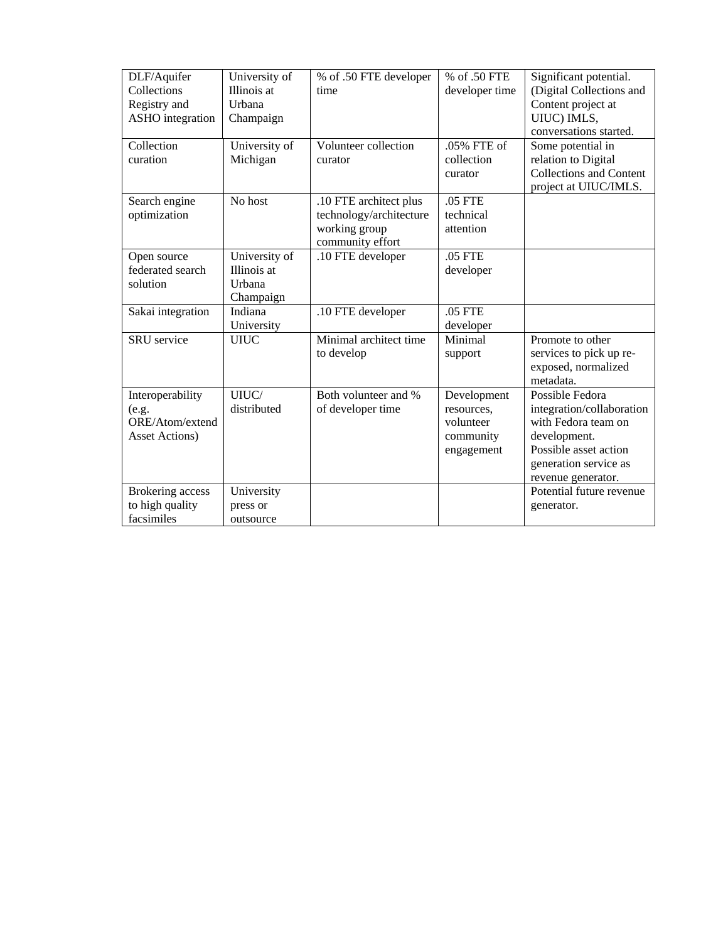| DLF/Aquifer             | University of | % of .50 FTE developer  | % of .50 FTE   | Significant potential.         |
|-------------------------|---------------|-------------------------|----------------|--------------------------------|
| Collections             | Illinois at   | time                    | developer time | (Digital Collections and       |
| Registry and            | Urbana        |                         |                | Content project at             |
| <b>ASHO</b> integration | Champaign     |                         |                | UIUC) IMLS,                    |
|                         |               |                         |                | conversations started.         |
| Collection              | University of | Volunteer collection    | .05% FTE of    | Some potential in              |
| curation                | Michigan      | curator                 | collection     | relation to Digital            |
|                         |               |                         | curator        | <b>Collections and Content</b> |
|                         |               |                         |                | project at UIUC/IMLS.          |
| Search engine           | No host       | .10 FTE architect plus  | .05 FTE        |                                |
| optimization            |               | technology/architecture | technical      |                                |
|                         |               | working group           | attention      |                                |
|                         |               | community effort        |                |                                |
| Open source             | University of | .10 FTE developer       | .05 FTE        |                                |
| federated search        | Illinois at   |                         | developer      |                                |
| solution                | Urbana        |                         |                |                                |
|                         | Champaign     |                         |                |                                |
| Sakai integration       | Indiana       | .10 FTE developer       | .05 FTE        |                                |
|                         | University    |                         | developer      |                                |
| <b>SRU</b> service      | UIUC          | Minimal architect time  | Minimal        | Promote to other               |
|                         |               | to develop              | support        | services to pick up re-        |
|                         |               |                         |                | exposed, normalized            |
|                         |               |                         |                | metadata.                      |
| Interoperability        | UIUC/         | Both volunteer and %    | Development    | Possible Fedora                |
| (e.g.                   | distributed   | of developer time       | resources.     | integration/collaboration      |
| ORE/Atom/extend         |               |                         | volunteer      | with Fedora team on            |
| Asset Actions)          |               |                         | community      | development.                   |
|                         |               |                         | engagement     | Possible asset action          |
|                         |               |                         |                | generation service as          |
|                         |               |                         |                | revenue generator.             |
| Brokering access        | University    |                         |                | Potential future revenue       |
| to high quality         | press or      |                         |                | generator.                     |
| facsimiles              | outsource     |                         |                |                                |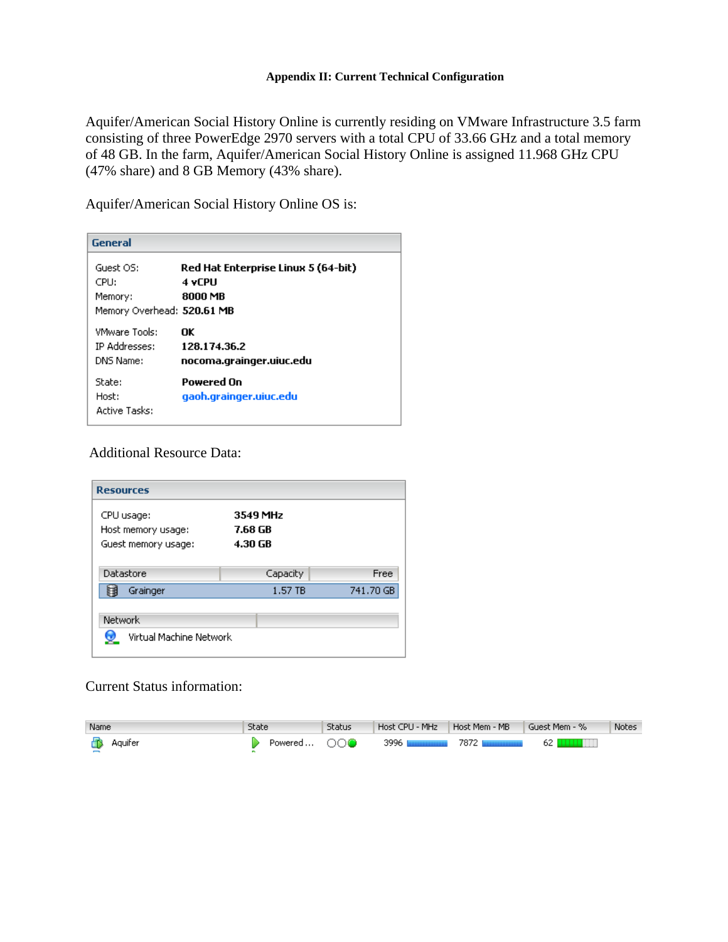Aquifer/American Social History Online is currently residing on VMware Infrastructure 3.5 farm consisting of three PowerEdge 2970 servers with a total CPU of 33.66 GHz and a total memory of 48 GB. In the farm, Aquifer/American Social History Online is assigned 11.968 GHz CPU (47% share) and 8 GB Memory (43% share).

Aquifer/American Social History Online OS is:

| <b>General</b>                                             |                                                          |
|------------------------------------------------------------|----------------------------------------------------------|
| Guest OS:<br>CPU:<br>Memory:<br>Memory Overhead: 520.61 MB | Red Hat Enterprise Linux 5 (64-bit)<br>4 vCPU<br>8000 MB |
| <b>VMware Tools:</b><br><b>IP Addresses:</b><br>DNS Name:  | ΠK<br>128.174.36.2<br>nocoma.grainger.uiuc.edu           |
| State:<br>Host:<br><b>Active Tasks:</b>                    | Powered On<br>gaoh.grainger.uiuc.edu                     |

# Additional Resource Data:

| <b>Resources</b>                   |          |           |
|------------------------------------|----------|-----------|
| CPU usage:                         | 3549 MHz |           |
| Host memory usage:                 | 7.68 GB  |           |
| Guest memory usage:                | 4.30 GB  |           |
| Datastore                          | Capacity | Free      |
| Grainger<br>屈                      | 1.57 TB  | 741.70 GB |
| Network<br>Virtual Machine Network |          |           |

# Current Status information:

| Name           | State       | Status | Host CPU - MHz   | Host Mem - MB | Guest Mem - % | <b>Notes</b> |
|----------------|-------------|--------|------------------|---------------|---------------|--------------|
| <b>Aquifer</b> | Powered ○○● |        | 3996 Шининининин |               | - 62 N        |              |